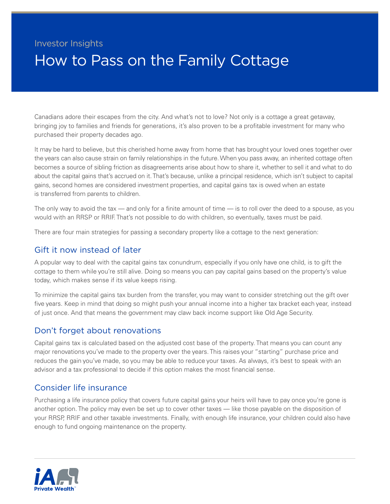# Investor Insights How to Pass on the Family Cottage

Canadians adore their escapes from the city. And what's not to love? Not only is a cottage a great getaway, bringing joy to families and friends for generations, it's also proven to be a profitable investment for many who purchased their property decades ago.

It may be hard to believe, but this cherished home away from home that has brought your loved ones together over the years can also cause strain on family relationships in the future. When you pass away, an inherited cottage often becomes a source of sibling friction as disagreements arise about how to share it, whether to sell it and what to do about the capital gains that's accrued on it. That's because, unlike a principal residence, which isn't subject to capital gains, second homes are considered investment properties, and capital gains tax is owed when an estate is transferred from parents to children.

The only way to avoid the tax — and only for a finite amount of time — is to roll over the deed to a spouse, as you would with an RRSP or RRIF. That's not possible to do with children, so eventually, taxes must be paid.

There are four main strategies for passing a secondary property like a cottage to the next generation:

#### Gift it now instead of later

A popular way to deal with the capital gains tax conundrum, especially if you only have one child, is to gift the cottage to them while you're still alive. Doing so means you can pay capital gains based on the property's value today, which makes sense if its value keeps rising.

To minimize the capital gains tax burden from the transfer, you may want to consider stretching out the gift over five years. Keep in mind that doing so might push your annual income into a higher tax bracket each year, instead of just once. And that means the government may claw back income support like Old Age Security.

#### Don't forget about renovations

Capital gains tax is calculated based on the adjusted cost base of the property. That means you can count any major renovations you've made to the property over the years. This raises your "starting" purchase price and reduces the gain you've made, so you may be able to reduce your taxes. As always, it's best to speak with an advisor and a tax professional to decide if this option makes the most financial sense.

## Consider life insurance

Purchasing a life insurance policy that covers future capital gains your heirs will have to pay once you're gone is another option. The policy may even be set up to cover other taxes — like those payable on the disposition of your RRSP, RRIF and other taxable investments. Finally, with enough life insurance, your children could also have enough to fund ongoing maintenance on the property.